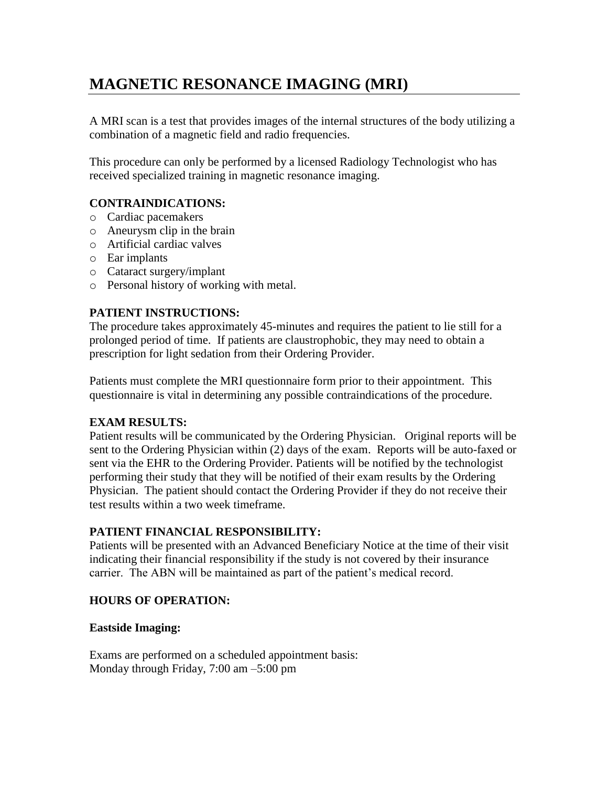# **MAGNETIC RESONANCE IMAGING (MRI)**

A MRI scan is a test that provides images of the internal structures of the body utilizing a combination of a magnetic field and radio frequencies.

This procedure can only be performed by a licensed Radiology Technologist who has received specialized training in magnetic resonance imaging.

## **CONTRAINDICATIONS:**

- o Cardiac pacemakers
- o Aneurysm clip in the brain
- o Artificial cardiac valves
- o Ear implants
- o Cataract surgery/implant
- o Personal history of working with metal.

### **PATIENT INSTRUCTIONS:**

The procedure takes approximately 45-minutes and requires the patient to lie still for a prolonged period of time. If patients are claustrophobic, they may need to obtain a prescription for light sedation from their Ordering Provider.

Patients must complete the MRI questionnaire form prior to their appointment. This questionnaire is vital in determining any possible contraindications of the procedure.

### **EXAM RESULTS:**

Patient results will be communicated by the Ordering Physician. Original reports will be sent to the Ordering Physician within (2) days of the exam. Reports will be auto-faxed or sent via the EHR to the Ordering Provider. Patients will be notified by the technologist performing their study that they will be notified of their exam results by the Ordering Physician. The patient should contact the Ordering Provider if they do not receive their test results within a two week timeframe.

### **PATIENT FINANCIAL RESPONSIBILITY:**

Patients will be presented with an Advanced Beneficiary Notice at the time of their visit indicating their financial responsibility if the study is not covered by their insurance carrier. The ABN will be maintained as part of the patient's medical record.

### **HOURS OF OPERATION:**

### **Eastside Imaging:**

Exams are performed on a scheduled appointment basis: Monday through Friday, 7:00 am –5:00 pm